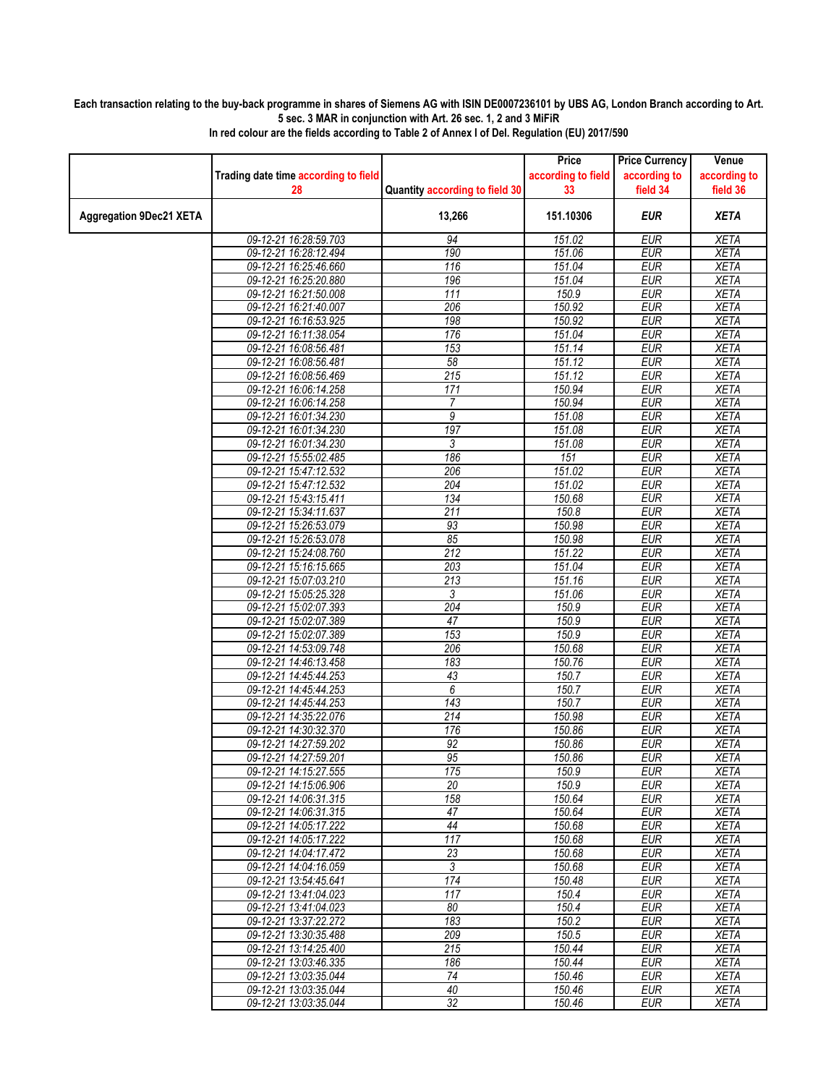## **Each transaction relating to the buy-back programme in shares of Siemens AG with ISIN DE0007236101 by UBS AG, London Branch according to Art. 5 sec. 3 MAR in conjunction with Art. 26 sec. 1, 2 and 3 MiFiR**

|                                |                                      |                                | Price              | <b>Price Currency</b> | Venue        |
|--------------------------------|--------------------------------------|--------------------------------|--------------------|-----------------------|--------------|
|                                | Trading date time according to field |                                | according to field | according to          | according to |
|                                | 28                                   | Quantity according to field 30 | 33                 | field 34              | field 36     |
|                                |                                      |                                |                    |                       |              |
| <b>Aggregation 9Dec21 XETA</b> |                                      | 13,266                         | 151.10306          | <b>EUR</b>            | <b>XETA</b>  |
|                                | 09-12-21 16:28:59.703                | 94                             | 151.02             | <b>EUR</b>            | <b>XETA</b>  |
|                                | 09-12-21 16:28:12.494                | 190                            | 151.06             | <b>EUR</b>            | <b>XETA</b>  |
|                                | 09-12-21 16:25:46.660                | 116                            | 151.04             | <b>EUR</b>            | <b>XETA</b>  |
|                                | 09-12-21 16:25:20.880                | 196                            | 151.04             | <b>EUR</b>            | <b>XETA</b>  |
|                                | 09-12-21 16:21:50.008                | 111                            | 150.9              | <b>EUR</b>            | <b>XETA</b>  |
|                                | 09-12-21 16:21:40.007                | 206                            | 150.92             | <b>EUR</b>            | <b>XETA</b>  |
|                                | 09-12-21 16:16:53.925                | 198                            | 150.92             | <b>EUR</b>            | <b>XETA</b>  |
|                                | 09-12-21 16:11:38.054                | 176                            | 151.04             | <b>EUR</b>            | <b>XETA</b>  |
|                                | 09-12-21 16:08:56.481                | 153                            | 151.14             | <b>EUR</b>            | <b>XETA</b>  |
|                                | 09-12-21 16:08:56.481                | 58                             | 151.12             | <b>EUR</b>            | <b>XETA</b>  |
|                                | 09-12-21 16:08:56.469                | 215                            | 151.12             | <b>EUR</b>            | <b>XETA</b>  |
|                                | 09-12-21 16:06:14.258                | 171                            | 150.94             | <b>EUR</b>            | <b>XETA</b>  |
|                                | 09-12-21 16:06:14.258                | $\overline{7}$                 | 150.94             | <b>EUR</b>            | <b>XETA</b>  |
|                                | 09-12-21 16:01:34.230                | 9                              | 151.08             | <b>EUR</b>            | <b>XETA</b>  |
|                                | 09-12-21 16:01:34.230                | 197                            | 151.08             | <b>EUR</b>            | <b>XETA</b>  |
|                                | 09-12-21 16:01:34.230                | 3                              | 151.08             | <b>EUR</b>            | <b>XETA</b>  |
|                                | 09-12-21 15:55:02.485                | 186                            | 151                | <b>EUR</b>            | <b>XETA</b>  |
|                                | 09-12-21 15:47:12.532                | 206                            | 151.02             | <b>EUR</b>            | <b>XETA</b>  |
|                                | 09-12-21 15:47:12.532                | 204                            | 151.02             | <b>EUR</b>            | <b>XETA</b>  |
|                                | 09-12-21 15:43:15.411                | 134                            | 150.68             | <b>EUR</b>            | <b>XETA</b>  |
|                                | 09-12-21 15:34:11.637                | 211                            | 150.8              | <b>EUR</b>            | <b>XETA</b>  |
|                                | 09-12-21 15:26:53.079                | 93                             | 150.98             | <b>EUR</b>            | <b>XETA</b>  |
|                                | 09-12-21 15:26:53.078                | 85                             | 150.98             | <b>EUR</b>            | <b>XETA</b>  |
|                                | 09-12-21 15:24:08.760                | 212                            | 151.22             | <b>EUR</b>            | <b>XETA</b>  |
|                                | 09-12-21 15:16:15.665                | 203                            | 151.04             | <b>EUR</b>            | <b>XETA</b>  |
|                                | 09-12-21 15:07:03.210                | 213                            | 151.16             | <b>EUR</b>            | <b>XETA</b>  |
|                                | 09-12-21 15:05:25.328                | 3                              | 151.06             | <b>EUR</b>            | <b>XETA</b>  |
|                                | 09-12-21 15:02:07.393                | 204                            | 150.9              | <b>EUR</b>            | <b>XETA</b>  |
|                                | 09-12-21 15:02:07.389                | 47                             | 150.9              | <b>EUR</b>            | <b>XETA</b>  |
|                                | 09-12-21 15:02:07.389                | 153                            | 150.9              | <b>EUR</b>            | <b>XETA</b>  |
|                                | 09-12-21 14:53:09.748                | 206                            | 150.68             | <b>EUR</b>            | <b>XETA</b>  |
|                                | 09-12-21 14:46:13.458                | 183                            | 150.76             | <b>EUR</b>            | <b>XETA</b>  |
|                                | 09-12-21 14:45:44.253                | 43                             | 150.7              | <b>EUR</b>            | <b>XETA</b>  |
|                                | 09-12-21 14:45:44.253                | 6                              | 150.7              | <b>EUR</b>            | <b>XETA</b>  |
|                                | 09-12-21 14:45:44.253                | 143                            | 150.7              | <b>EUR</b>            | <b>XETA</b>  |
|                                | 09-12-21 14:35:22.076                | $\overline{214}$               | 150.98             | <b>EUR</b>            | <b>XETA</b>  |
|                                | 09-12-21 14:30:32.370                | 176                            | 150.86             | <b>EUR</b>            | <b>XETA</b>  |
|                                | 09-12-21 14:27:59.202                | 92                             | 150.86             | <b>EUR</b>            | <b>XETA</b>  |
|                                | 09-12-21 14:27:59.201                | 95                             | 150.86             | <b>EUR</b>            | <b>XETA</b>  |
|                                | 09-12-21 14:15:27.555                | 175                            | 150.9              | <b>EUR</b>            | <b>XETA</b>  |
|                                | 09-12-21 14:15:06.906                | 20                             | 150.9              | <b>EUR</b>            | <b>XETA</b>  |
|                                | 09-12-21 14:06:31.315                | 158                            | 150.64             | <b>EUR</b>            | <b>XETA</b>  |
|                                | 09-12-21 14:06:31.315                | 47                             | 150.64             | EUR                   | XETA         |
|                                | 09-12-21 14:05:17.222                | 44                             | 150.68             | <b>EUR</b>            | <b>XETA</b>  |
|                                | 09-12-21 14:05:17.222                | $\overline{117}$               | 150.68             | <b>EUR</b>            | <b>XETA</b>  |
|                                | 09-12-21 14:04:17.472                | 23                             | 150.68             | EUR                   | XETA         |
|                                | 09-12-21 14:04:16.059                | $\overline{3}$                 | 150.68             | <b>EUR</b>            | <b>XETA</b>  |
|                                | 09-12-21 13:54:45.641                | 174                            | 150.48             | <b>EUR</b>            | <b>XETA</b>  |
|                                | 09-12-21 13:41:04.023                | 117                            | 150.4              | EUR                   | XETA         |
|                                | 09-12-21 13:41:04.023                | 80                             | 150.4              | <b>EUR</b>            | <b>XETA</b>  |
|                                | 09-12-21 13:37:22.272                | 183                            | 150.2              | <b>EUR</b>            | <b>XETA</b>  |
|                                | 09-12-21 13:30:35.488                | 209                            | 150.5              | <b>EUR</b>            | XETA         |
|                                | 09-12-21 13:14:25.400                | 215                            | 150.44             | <b>EUR</b>            | <b>XETA</b>  |
|                                | 09-12-21 13:03:46.335                | 186                            | 150.44             | EUR                   | <b>XETA</b>  |
|                                | 09-12-21 13:03:35.044                | 74                             | 150.46             | <b>EUR</b>            | XETA         |
|                                | 09-12-21 13:03:35.044                | 40                             | 150.46             | <b>EUR</b>            | <b>XETA</b>  |
|                                | 09-12-21 13:03:35.044                | 32                             | 150.46             | <b>EUR</b>            | <b>XETA</b>  |
|                                |                                      |                                |                    |                       |              |

**In red colour are the fields according to Table 2 of Annex I of Del. Regulation (EU) 2017/590**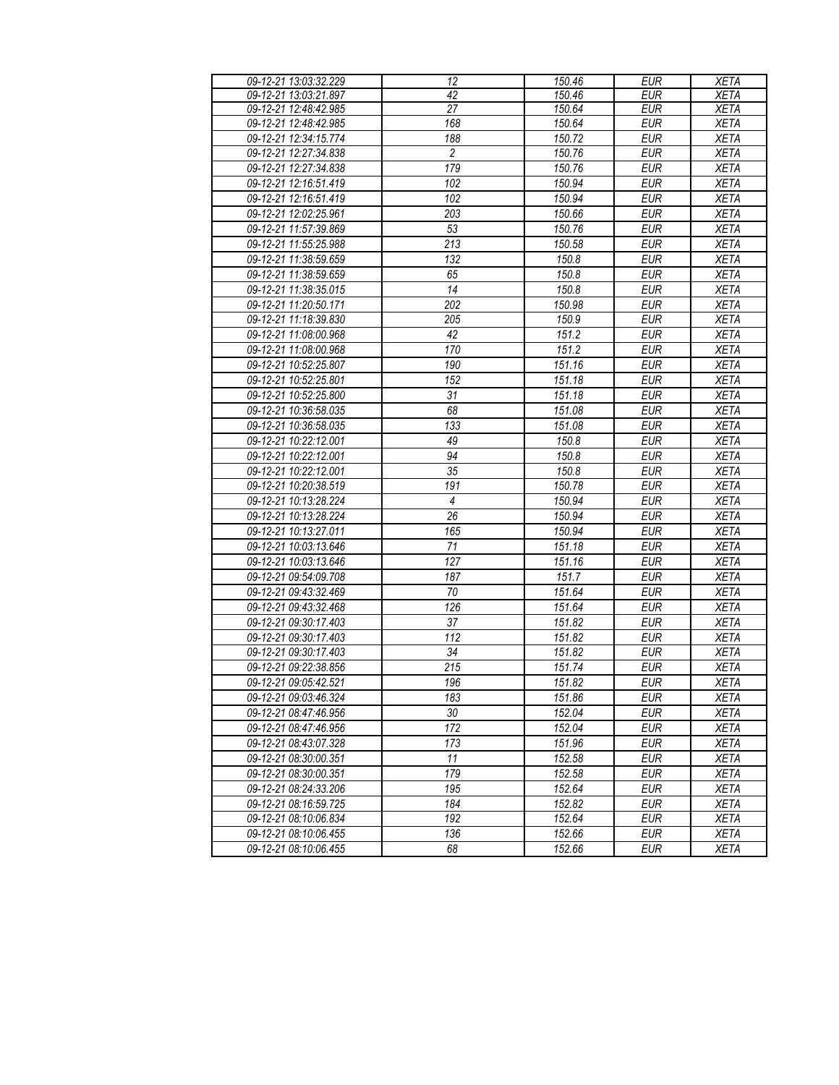| 09-12-21 13:03:32.229                          | 12              | 150.46          | <b>EUR</b>               | <b>XETA</b>                |
|------------------------------------------------|-----------------|-----------------|--------------------------|----------------------------|
| 09-12-21 13:03:21.897                          | 42              | 150.46          | <b>EUR</b>               | <b>XETA</b>                |
| 09-12-21 12:48:42.985                          | 27              | 150.64          | <b>EUR</b>               | <b>XETA</b>                |
| 09-12-21 12:48:42.985                          | 168             | 150.64          | <b>EUR</b>               | <b>XETA</b>                |
| 09-12-21 12:34:15.774                          | 188             | 150.72          | <b>EUR</b>               | <b>XETA</b>                |
| 09-12-21 12:27:34.838                          | $\overline{c}$  | 150.76          | <b>EUR</b>               | <b>XETA</b>                |
| 09-12-21 12:27:34.838                          | 179             | 150.76          | <b>EUR</b>               | <b>XETA</b>                |
| 09-12-21 12:16:51.419                          | 102             | 150.94          | <b>EUR</b>               | <b>XETA</b>                |
| 09-12-21 12:16:51.419                          | 102             | 150.94          | <b>EUR</b>               | <b>XETA</b>                |
| 09-12-21 12:02:25.961                          | 203             | 150.66          | <b>EUR</b>               | <b>XETA</b>                |
| 09-12-21 11:57:39.869                          | 53              | 150.76          | <b>EUR</b>               | <b>XETA</b>                |
| 09-12-21 11:55:25.988                          | 213             | 150.58          | <b>EUR</b>               | <b>XETA</b>                |
| 09-12-21 11:38:59.659                          | 132             | 150.8           | <b>EUR</b>               | <b>XETA</b>                |
| 09-12-21 11:38:59.659                          | 65              | 150.8           | <b>EUR</b>               | <b>XETA</b>                |
| 09-12-21 11:38:35.015                          | 14              | 150.8           | <b>EUR</b>               | <b>XETA</b>                |
| 09-12-21 11:20:50.171                          | 202             | 150.98          | <b>EUR</b>               | <b>XETA</b>                |
| 09-12-21 11:18:39.830                          | 205             | 150.9           | <b>EUR</b>               | <b>XETA</b>                |
| 09-12-21 11:08:00.968                          | 42              | 151.2           | <b>EUR</b>               | <b>XETA</b>                |
| 09-12-21 11:08:00.968                          | 170             | 151.2           | <b>EUR</b>               | <b>XETA</b>                |
| 09-12-21 10:52:25.807                          | 190             | 151.16          | <b>EUR</b>               | <b>XETA</b>                |
| 09-12-21 10:52:25.801                          | 152             | 151.18          | <b>EUR</b>               | <b>XETA</b>                |
| 09-12-21 10:52:25.800                          | 31              | 151.18          | <b>EUR</b><br><b>EUR</b> | <b>XETA</b>                |
| 09-12-21 10:36:58.035<br>09-12-21 10:36:58.035 | 68<br>133       | 151.08          | <b>EUR</b>               | <b>XETA</b>                |
| 09-12-21 10:22:12.001                          | 49              | 151.08<br>150.8 | <b>EUR</b>               | <b>XETA</b><br><b>XETA</b> |
| 09-12-21 10:22:12.001                          | 94              | 150.8           | <b>EUR</b>               | <b>XETA</b>                |
| 09-12-21 10:22:12.001                          | 35              | 150.8           | <b>EUR</b>               | <b>XETA</b>                |
| 09-12-21 10:20:38.519                          | 191             | 150.78          | <b>EUR</b>               | <b>XETA</b>                |
| 09-12-21 10:13:28.224                          | $\overline{4}$  | 150.94          | <b>EUR</b>               | <b>XETA</b>                |
| 09-12-21 10:13:28.224                          | $\overline{26}$ | 150.94          | <b>EUR</b>               | <b>XETA</b>                |
| 09-12-21 10:13:27.011                          | 165             | 150.94          | <b>EUR</b>               | <b>XETA</b>                |
| 09-12-21 10:03:13.646                          | 71              | 151.18          | <b>EUR</b>               | <b>XETA</b>                |
| 09-12-21 10:03:13.646                          | 127             | 151.16          | <b>EUR</b>               | <b>XETA</b>                |
| 09-12-21 09:54:09.708                          | 187             | 151.7           | <b>EUR</b>               | <b>XETA</b>                |
| 09-12-21 09:43:32.469                          | 70              | 151.64          | <b>EUR</b>               | <b>XETA</b>                |
| 09-12-21 09:43:32.468                          | 126             | 151.64          | <b>EUR</b>               | <b>XETA</b>                |
| 09-12-21 09:30:17.403                          | 37              | 151.82          | <b>EUR</b>               | <b>XETA</b>                |
| 09-12-21 09:30:17.403                          | 112             | 151.82          | <b>EUR</b>               | <b>XETA</b>                |
| 09-12-21 09:30:17.403                          | 34              | 151.82          | <b>EUR</b>               | <b>XETA</b>                |
| 09-12-21 09:22:38.856                          | 215             | 151.74          | <b>EUR</b>               | <b>XETA</b>                |
| 09-12-21 09:05:42.521                          | 196             | 151.82          | <b>EUR</b>               | <b>XETA</b>                |
| 09-12-21 09:03:46.324                          | 183             | 151.86          | <b>EUR</b>               | <b>XETA</b>                |
| 09-12-21 08:47:46.956                          | 30              | 152.04          | <b>EUR</b>               | <b>XETA</b>                |
| 09-12-21 08:47:46.956                          | 172             | 152.04          | <b>EUR</b>               | <b>XETA</b>                |
| 09-12-21 08:43:07.328                          | 173             | 151.96          | <b>EUR</b>               | <b>XETA</b>                |
| 09-12-21 08:30:00.351                          | 11              | 152.58          | <b>EUR</b>               | <b>XETA</b>                |
| 09-12-21 08:30:00.351                          | 179             | 152.58          | <b>EUR</b>               | <b>XETA</b>                |
| 09-12-21 08:24:33.206                          | 195             | 152.64          | <b>EUR</b>               | <b>XETA</b>                |
| 09-12-21 08:16:59.725                          | 184             | 152.82          | <b>EUR</b>               | <b>XETA</b>                |
| 09-12-21 08:10:06.834                          | 192             | 152.64          | <b>EUR</b>               | <b>XETA</b>                |
| 09-12-21 08:10:06.455                          | 136             | 152.66          | <b>EUR</b>               | <b>XETA</b>                |
| 09-12-21 08:10:06.455                          | 68              | 152.66          | <b>EUR</b>               | <b>XETA</b>                |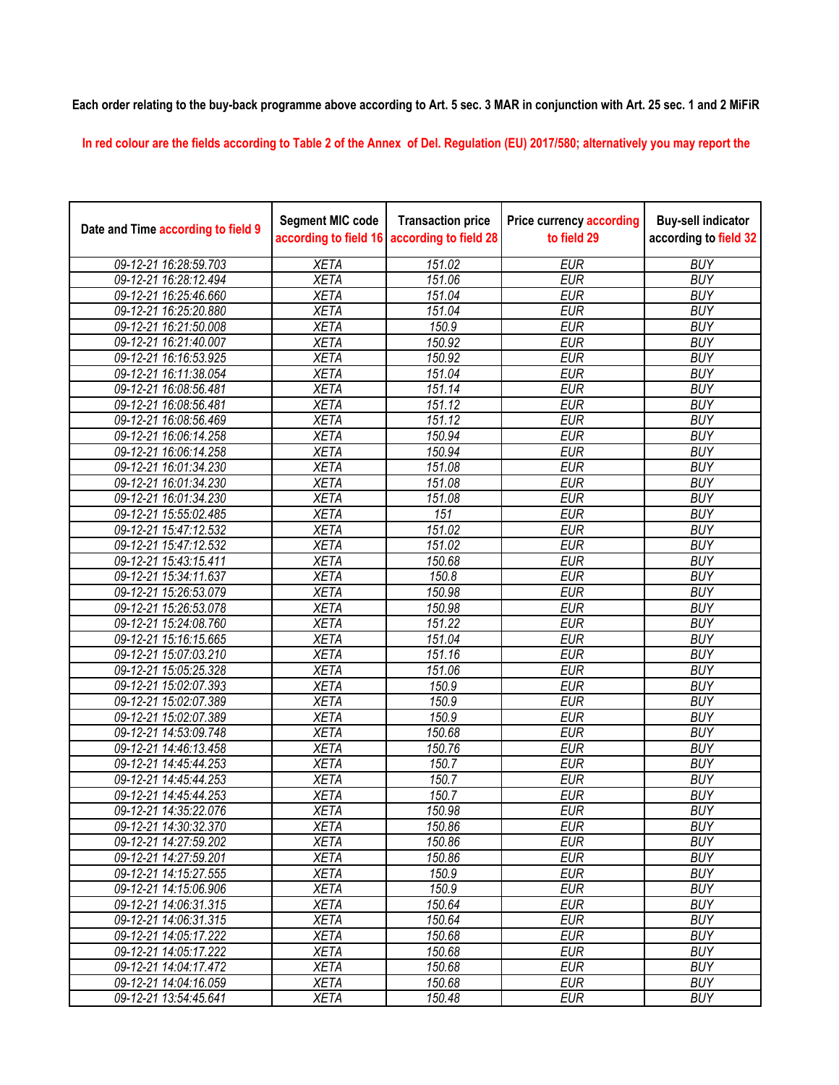## **Each order relating to the buy-back programme above according to Art. 5 sec. 3 MAR in conjunction with Art. 25 sec. 1 and 2 MiFiR**

**In red colour are the fields according to Table 2 of the Annex of Del. Regulation (EU) 2017/580; alternatively you may report the** 

| Date and Time according to field 9 | <b>Segment MIC code</b><br>according to field 16 | <b>Transaction price</b><br>according to field 28 | <b>Price currency according</b><br>to field 29 | <b>Buy-sell indicator</b><br>according to field 32 |
|------------------------------------|--------------------------------------------------|---------------------------------------------------|------------------------------------------------|----------------------------------------------------|
| 09-12-21 16:28:59.703              | <b>XETA</b>                                      | 151.02                                            | <b>EUR</b>                                     | <b>BUY</b>                                         |
| 09-12-21 16:28:12.494              | <b>XETA</b>                                      | 151.06                                            | <b>EUR</b>                                     | <b>BUY</b>                                         |
| 09-12-21 16:25:46.660              | <b>XETA</b>                                      | 151.04                                            | <b>EUR</b>                                     | <b>BUY</b>                                         |
| 09-12-21 16:25:20.880              | <b>XETA</b>                                      | 151.04                                            | <b>EUR</b>                                     | <b>BUY</b>                                         |
| 09-12-21 16:21:50.008              | <b>XETA</b>                                      | 150.9                                             | <b>EUR</b>                                     | <b>BUY</b>                                         |
| 09-12-21 16:21:40.007              | <b>XETA</b>                                      | 150.92                                            | <b>EUR</b>                                     | <b>BUY</b>                                         |
| 09-12-21 16:16:53.925              | <b>XETA</b>                                      | 150.92                                            | <b>EUR</b>                                     | <b>BUY</b>                                         |
| 09-12-21 16:11:38.054              | <b>XETA</b>                                      | 151.04                                            | <b>EUR</b>                                     | <b>BUY</b>                                         |
| 09-12-21 16:08:56.481              | <b>XETA</b>                                      | 151.14                                            | <b>EUR</b>                                     | <b>BUY</b>                                         |
| 09-12-21 16:08:56.481              | <b>XETA</b>                                      | 151.12                                            | <b>EUR</b>                                     | <b>BUY</b>                                         |
| 09-12-21 16:08:56.469              | <b>XETA</b>                                      | 151.12                                            | <b>EUR</b>                                     | <b>BUY</b>                                         |
| 09-12-21 16:06:14.258              | <b>XETA</b>                                      | 150.94                                            | <b>EUR</b>                                     | <b>BUY</b>                                         |
| 09-12-21 16:06:14.258              | <b>XETA</b>                                      | 150.94                                            | <b>EUR</b>                                     | <b>BUY</b>                                         |
| 09-12-21 16:01:34.230              | <b>XETA</b>                                      | 151.08                                            | <b>EUR</b>                                     | <b>BUY</b>                                         |
| 09-12-21 16:01:34.230              | <b>XETA</b>                                      | 151.08                                            | <b>EUR</b>                                     | <b>BUY</b>                                         |
| 09-12-21 16:01:34.230              | <b>XETA</b>                                      | 151.08                                            | <b>EUR</b>                                     | <b>BUY</b>                                         |
| 09-12-21 15:55:02.485              | <b>XETA</b>                                      | $\overline{151}$                                  | <b>EUR</b>                                     | <b>BUY</b>                                         |
| 09-12-21 15:47:12.532              | <b>XETA</b>                                      | 151.02                                            | <b>EUR</b>                                     | <b>BUY</b>                                         |
| 09-12-21 15:47:12.532              | <b>XETA</b>                                      | 151.02                                            | <b>EUR</b>                                     | <b>BUY</b>                                         |
| 09-12-21 15:43:15.411              | <b>XETA</b>                                      | 150.68                                            | <b>EUR</b>                                     | <b>BUY</b>                                         |
| 09-12-21 15:34:11.637              | <b>XETA</b>                                      | 150.8                                             | <b>EUR</b>                                     | <b>BUY</b>                                         |
| 09-12-21 15:26:53.079              | <b>XETA</b>                                      | 150.98                                            | <b>EUR</b>                                     | <b>BUY</b>                                         |
| 09-12-21 15:26:53.078              | <b>XETA</b>                                      | 150.98                                            | <b>EUR</b>                                     | <b>BUY</b>                                         |
| 09-12-21 15:24:08.760              | <b>XETA</b>                                      | 151.22                                            | <b>EUR</b>                                     | <b>BUY</b>                                         |
| 09-12-21 15:16:15.665              | <b>XETA</b>                                      | 151.04                                            | <b>EUR</b>                                     | <b>BUY</b>                                         |
| 09-12-21 15:07:03.210              | <b>XETA</b>                                      | 151.16                                            | <b>EUR</b>                                     | <b>BUY</b>                                         |
| 09-12-21 15:05:25.328              | <b>XETA</b>                                      | 151.06                                            | <b>EUR</b>                                     | <b>BUY</b>                                         |
| 09-12-21 15:02:07.393              | <b>XETA</b>                                      | 150.9                                             | <b>EUR</b>                                     | <b>BUY</b>                                         |
| 09-12-21 15:02:07.389              | <b>XETA</b>                                      | 150.9                                             | <b>EUR</b>                                     | <b>BUY</b>                                         |
| 09-12-21 15:02:07.389              | <b>XETA</b>                                      | 150.9                                             | <b>EUR</b>                                     | <b>BUY</b>                                         |
| 09-12-21 14:53:09.748              | <b>XETA</b>                                      | 150.68                                            | <b>EUR</b>                                     | <b>BUY</b>                                         |
| 09-12-21 14:46:13.458              | <b>XETA</b>                                      | 150.76                                            | <b>EUR</b>                                     | <b>BUY</b>                                         |
| 09-12-21 14:45:44.253              | <b>XETA</b>                                      | 150.7                                             | <b>EUR</b>                                     | <b>BUY</b>                                         |
| 09-12-21 14:45:44.253              | <b>XETA</b>                                      | 150.7                                             | <b>EUR</b>                                     | <b>BUY</b>                                         |
| 09-12-21 14:45:44.253              | <b>XETA</b>                                      | 150.7                                             | <b>EUR</b>                                     | <b>BUY</b>                                         |
| 09-12-21 14:35:22.076              | <b>XETA</b>                                      | 150.98                                            | <b>EUR</b>                                     | <b>BUY</b>                                         |
| 09-12-21 14:30:32.370              | <b>XETA</b>                                      | 150.86                                            | <b>EUR</b>                                     | <b>BUY</b>                                         |
| 09-12-21 14:27:59.202              | <b>XETA</b>                                      | 150.86                                            | <b>EUR</b>                                     | <b>BUY</b>                                         |
| 09-12-21 14:27:59.201              | <b>XETA</b>                                      | 150.86                                            | <b>EUR</b>                                     | <b>BUY</b>                                         |
| 09-12-21 14:15:27.555              | <b>XETA</b>                                      | 150.9                                             | <b>EUR</b>                                     | <b>BUY</b>                                         |
| 09-12-21 14:15:06.906              | <b>XETA</b>                                      | 150.9                                             | <b>EUR</b>                                     | <b>BUY</b>                                         |
| 09-12-21 14:06:31.315              | <b>XETA</b>                                      | 150.64                                            | <b>EUR</b>                                     | <b>BUY</b>                                         |
| 09-12-21 14:06:31.315              | <b>XETA</b>                                      | 150.64                                            | <b>EUR</b>                                     | <b>BUY</b>                                         |
| 09-12-21 14:05:17.222              | <b>XETA</b>                                      | 150.68                                            | <b>EUR</b>                                     | <b>BUY</b>                                         |
| 09-12-21 14:05:17.222              | <b>XETA</b>                                      | 150.68                                            | <b>EUR</b>                                     | <b>BUY</b>                                         |
| 09-12-21 14:04:17.472              | <b>XETA</b>                                      | 150.68                                            | <b>EUR</b>                                     | <b>BUY</b>                                         |
| 09-12-21 14:04:16.059              | <b>XETA</b>                                      | 150.68                                            | <b>EUR</b>                                     | <b>BUY</b>                                         |
| 09-12-21 13:54:45.641              | <b>XETA</b>                                      | 150.48                                            | <b>EUR</b>                                     | <b>BUY</b>                                         |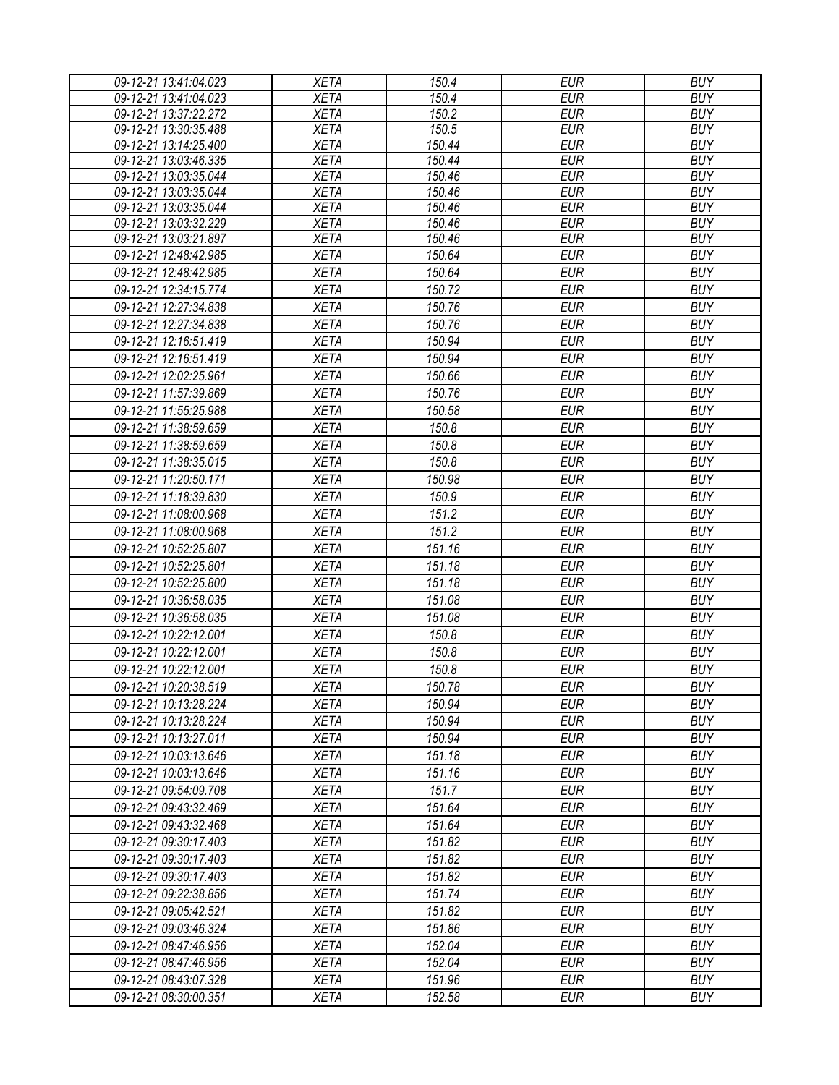| 09-12-21 13:41:04.023                          | <b>XETA</b>                | 150.4            | <b>EUR</b>               | <b>BUY</b>               |
|------------------------------------------------|----------------------------|------------------|--------------------------|--------------------------|
| 09-12-21 13:41:04.023                          | <b>XETA</b>                | 150.4            | <b>EUR</b>               | <b>BUY</b>               |
| 09-12-21 13:37:22.272                          | <b>XETA</b>                | 150.2            | <b>EUR</b>               | <b>BUY</b>               |
| 09-12-21 13:30:35.488                          | <b>XETA</b>                | 150.5            | <b>EUR</b>               | <b>BUY</b>               |
| 09-12-21 13:14:25.400                          | <b>XETA</b>                | 150.44           | <b>EUR</b>               | <b>BUY</b>               |
| 09-12-21 13:03:46.335                          | <b>XETA</b>                | 150.44           | <b>EUR</b>               | <b>BUY</b>               |
| 09-12-21 13:03:35.044                          | <b>XETA</b>                | 150.46           | <b>EUR</b>               | <b>BUY</b>               |
| 09-12-21 13:03:35.044                          | <b>XETA</b>                | 150.46<br>150.46 | <b>EUR</b><br><b>EUR</b> | <b>BUY</b><br><b>BUY</b> |
| 09-12-21 13:03:35.044<br>09-12-21 13:03:32.229 | <b>XETA</b><br><b>XETA</b> | 150.46           | <b>EUR</b>               | <b>BUY</b>               |
| 09-12-21 13:03:21.897                          | <b>XETA</b>                | 150.46           | <b>EUR</b>               | <b>BUY</b>               |
| 09-12-21 12:48:42.985                          | <b>XETA</b>                | 150.64           | <b>EUR</b>               | <b>BUY</b>               |
| 09-12-21 12:48:42.985                          | <b>XETA</b>                | 150.64           | <b>EUR</b>               | <b>BUY</b>               |
| 09-12-21 12:34:15.774                          | <b>XETA</b>                | 150.72           | <b>EUR</b>               | <b>BUY</b>               |
| 09-12-21 12:27:34.838                          | <b>XETA</b>                | 150.76           | <b>EUR</b>               | <b>BUY</b>               |
| 09-12-21 12:27:34.838                          | <b>XETA</b>                | 150.76           | <b>EUR</b>               | <b>BUY</b>               |
| 09-12-21 12:16:51.419                          | <b>XETA</b>                | 150.94           | <b>EUR</b>               | <b>BUY</b>               |
| 09-12-21 12:16:51.419                          | <b>XETA</b>                | 150.94           | <b>EUR</b>               | <b>BUY</b>               |
|                                                |                            | 150.66           |                          |                          |
| 09-12-21 12:02:25.961                          | <b>XETA</b>                |                  | <b>EUR</b>               | <b>BUY</b>               |
| 09-12-21 11:57:39.869                          | <b>XETA</b>                | 150.76           | <b>EUR</b>               | <b>BUY</b>               |
| 09-12-21 11:55:25.988                          | <b>XETA</b>                | 150.58           | <b>EUR</b>               | <b>BUY</b>               |
| 09-12-21 11:38:59.659                          | <b>XETA</b>                | 150.8            | <b>EUR</b>               | <b>BUY</b>               |
| 09-12-21 11:38:59.659                          | <b>XETA</b>                | 150.8            | <b>EUR</b>               | <b>BUY</b>               |
| 09-12-21 11:38:35.015                          | <b>XETA</b>                | 150.8            | <b>EUR</b>               | <b>BUY</b>               |
| 09-12-21 11:20:50.171                          | <b>XETA</b>                | 150.98           | <b>EUR</b>               | <b>BUY</b>               |
| 09-12-21 11:18:39.830                          | <b>XETA</b>                | 150.9            | <b>EUR</b>               | <b>BUY</b>               |
| 09-12-21 11:08:00.968                          | <b>XETA</b>                | 151.2            | <b>EUR</b>               | <b>BUY</b>               |
| 09-12-21 11:08:00.968                          | <b>XETA</b>                | 151.2            | <b>EUR</b>               | <b>BUY</b>               |
| 09-12-21 10:52:25.807                          | <b>XETA</b>                | 151.16           | <b>EUR</b>               | <b>BUY</b>               |
| 09-12-21 10:52:25.801                          | <b>XETA</b>                | 151.18           | <b>EUR</b>               | <b>BUY</b>               |
| 09-12-21 10:52:25.800                          | <b>XETA</b>                | 151.18           | <b>EUR</b>               | <b>BUY</b>               |
| 09-12-21 10:36:58.035                          | <b>XETA</b>                | 151.08           | <b>EUR</b>               | <b>BUY</b>               |
| 09-12-21 10:36:58.035                          | <b>XETA</b>                | 151.08           | <b>EUR</b>               | <b>BUY</b>               |
| 09-12-21 10:22:12.001                          | <b>XETA</b>                | 150.8            | <b>EUR</b>               | <b>BUY</b>               |
| 09-12-21 10:22:12.001                          | <b>XETA</b>                | 150.8            | <b>EUR</b>               | <b>BUY</b>               |
| 09-12-21 10:22:12.001                          | <b>XETA</b>                | 150.8            | <b>EUR</b>               | <b>BUY</b>               |
| 09-12-21 10:20:38.519                          | <b>XETA</b>                | 150.78           | <b>EUR</b>               | <b>BUY</b>               |
| 09-12-21 10:13:28.224                          | <b>XETA</b>                | 150.94           | EUR                      | <b>BUY</b>               |
| 09-12-21 10:13:28.224                          | <b>XETA</b>                | 150.94           | <b>EUR</b>               | <b>BUY</b>               |
| 09-12-21 10:13:27.011                          | <b>XETA</b>                | 150.94           | <b>EUR</b>               | <b>BUY</b>               |
| 09-12-21 10:03:13.646                          | <b>XETA</b>                | 151.18           | <b>EUR</b>               | <b>BUY</b>               |
| 09-12-21 10:03:13.646                          | <b>XETA</b>                | 151.16           | <b>EUR</b>               | <b>BUY</b>               |
| 09-12-21 09:54:09.708                          | <b>XETA</b>                | 151.7            | EUR                      | <b>BUY</b>               |
| 09-12-21 09:43:32.469                          | <b>XETA</b>                | 151.64           | EUR                      | <b>BUY</b>               |
| 09-12-21 09:43:32.468                          | <b>XETA</b>                | 151.64           | <b>EUR</b>               | <b>BUY</b>               |
| 09-12-21 09:30:17.403                          | <b>XETA</b>                | 151.82           | <b>EUR</b>               | <b>BUY</b>               |
| 09-12-21 09:30:17.403                          | <b>XETA</b>                | 151.82           | <b>EUR</b>               | <b>BUY</b>               |
| 09-12-21 09:30:17.403                          | <b>XETA</b>                | 151.82           | <b>EUR</b>               | <b>BUY</b>               |
| 09-12-21 09:22:38.856                          | <b>XETA</b>                | 151.74           | <b>EUR</b>               | <b>BUY</b>               |
| 09-12-21 09:05:42.521                          | <b>XETA</b>                | 151.82           | <b>EUR</b>               | <b>BUY</b>               |
| 09-12-21 09:03:46.324                          | <b>XETA</b>                | 151.86           | <b>EUR</b>               | <b>BUY</b>               |
| 09-12-21 08:47:46.956                          | <b>XETA</b>                | 152.04           | <b>EUR</b>               | <b>BUY</b>               |
| 09-12-21 08:47:46.956                          | <b>XETA</b>                | 152.04           | <b>EUR</b>               | <b>BUY</b>               |
| 09-12-21 08:43:07.328                          | <b>XETA</b>                | 151.96           | EUR                      | <b>BUY</b>               |
| 09-12-21 08:30:00.351                          | <b>XETA</b>                | 152.58           | <b>EUR</b>               | <b>BUY</b>               |
|                                                |                            |                  |                          |                          |